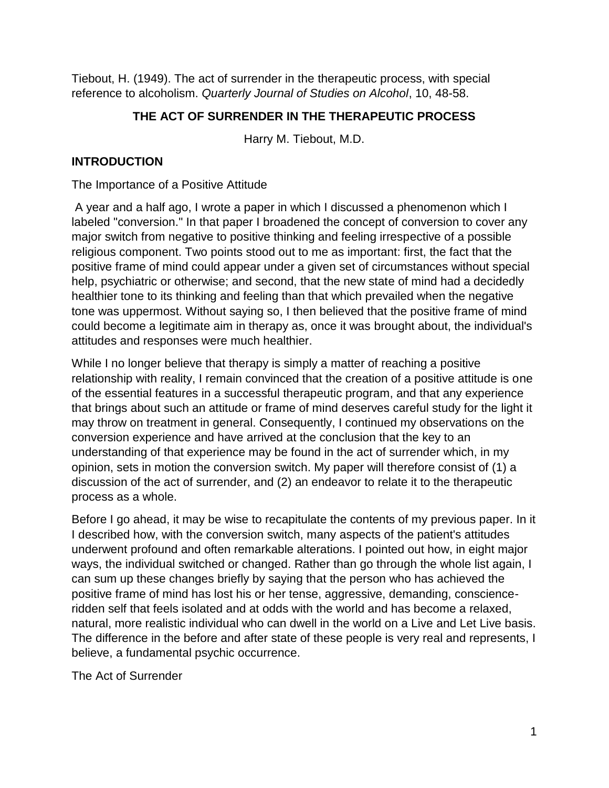Tiebout, H. (1949). The act of surrender in the therapeutic process, with special reference to alcoholism. *Quarterly Journal of Studies on Alcohol*, 10, 48-58.

# **THE ACT OF SURRENDER IN THE THERAPEUTIC PROCESS**

Harry M. Tiebout, M.D.

# **INTRODUCTION**

The Importance of a Positive Attitude

A year and a half ago, I wrote a paper in which I discussed a phenomenon which I labeled "conversion." In that paper I broadened the concept of conversion to cover any major switch from negative to positive thinking and feeling irrespective of a possible religious component. Two points stood out to me as important: first, the fact that the positive frame of mind could appear under a given set of circumstances without special help, psychiatric or otherwise; and second, that the new state of mind had a decidedly healthier tone to its thinking and feeling than that which prevailed when the negative tone was uppermost. Without saying so, I then believed that the positive frame of mind could become a legitimate aim in therapy as, once it was brought about, the individual's attitudes and responses were much healthier.

While I no longer believe that therapy is simply a matter of reaching a positive relationship with reality, I remain convinced that the creation of a positive attitude is one of the essential features in a successful therapeutic program, and that any experience that brings about such an attitude or frame of mind deserves careful study for the light it may throw on treatment in general. Consequently, I continued my observations on the conversion experience and have arrived at the conclusion that the key to an understanding of that experience may be found in the act of surrender which, in my opinion, sets in motion the conversion switch. My paper will therefore consist of (1) a discussion of the act of surrender, and (2) an endeavor to relate it to the therapeutic process as a whole.

Before I go ahead, it may be wise to recapitulate the contents of my previous paper. In it I described how, with the conversion switch, many aspects of the patient's attitudes underwent profound and often remarkable alterations. I pointed out how, in eight major ways, the individual switched or changed. Rather than go through the whole list again, I can sum up these changes briefly by saying that the person who has achieved the positive frame of mind has lost his or her tense, aggressive, demanding, conscienceridden self that feels isolated and at odds with the world and has become a relaxed, natural, more realistic individual who can dwell in the world on a Live and Let Live basis. The difference in the before and after state of these people is very real and represents, I believe, a fundamental psychic occurrence.

The Act of Surrender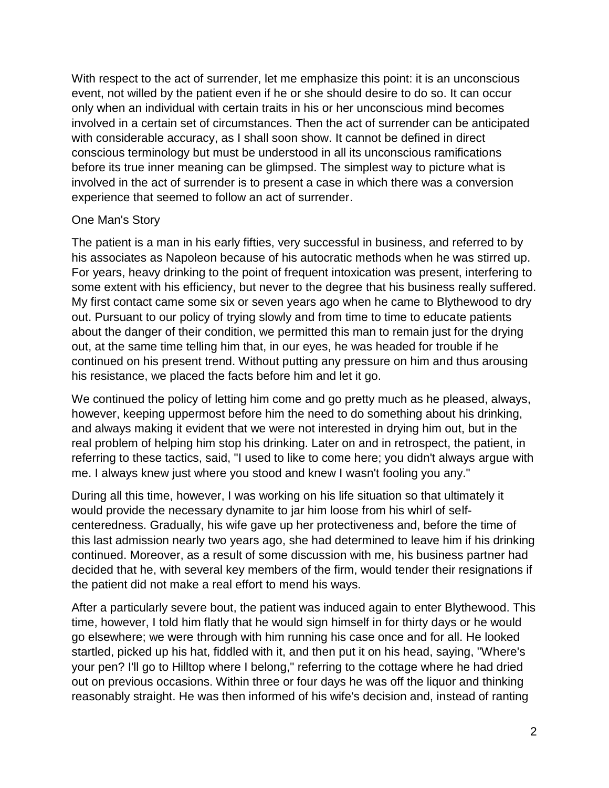With respect to the act of surrender, let me emphasize this point: it is an unconscious event, not willed by the patient even if he or she should desire to do so. It can occur only when an individual with certain traits in his or her unconscious mind becomes involved in a certain set of circumstances. Then the act of surrender can be anticipated with considerable accuracy, as I shall soon show. It cannot be defined in direct conscious terminology but must be understood in all its unconscious ramifications before its true inner meaning can be glimpsed. The simplest way to picture what is involved in the act of surrender is to present a case in which there was a conversion experience that seemed to follow an act of surrender.

## One Man's Story

The patient is a man in his early fifties, very successful in business, and referred to by his associates as Napoleon because of his autocratic methods when he was stirred up. For years, heavy drinking to the point of frequent intoxication was present, interfering to some extent with his efficiency, but never to the degree that his business really suffered. My first contact came some six or seven years ago when he came to Blythewood to dry out. Pursuant to our policy of trying slowly and from time to time to educate patients about the danger of their condition, we permitted this man to remain just for the drying out, at the same time telling him that, in our eyes, he was headed for trouble if he continued on his present trend. Without putting any pressure on him and thus arousing his resistance, we placed the facts before him and let it go.

We continued the policy of letting him come and go pretty much as he pleased, always, however, keeping uppermost before him the need to do something about his drinking, and always making it evident that we were not interested in drying him out, but in the real problem of helping him stop his drinking. Later on and in retrospect, the patient, in referring to these tactics, said, "I used to like to come here; you didn't always argue with me. I always knew just where you stood and knew I wasn't fooling you any."

During all this time, however, I was working on his life situation so that ultimately it would provide the necessary dynamite to jar him loose from his whirl of selfcenteredness. Gradually, his wife gave up her protectiveness and, before the time of this last admission nearly two years ago, she had determined to leave him if his drinking continued. Moreover, as a result of some discussion with me, his business partner had decided that he, with several key members of the firm, would tender their resignations if the patient did not make a real effort to mend his ways.

After a particularly severe bout, the patient was induced again to enter Blythewood. This time, however, I told him flatly that he would sign himself in for thirty days or he would go elsewhere; we were through with him running his case once and for all. He looked startled, picked up his hat, fiddled with it, and then put it on his head, saying, "Where's your pen? I'll go to Hilltop where I belong," referring to the cottage where he had dried out on previous occasions. Within three or four days he was off the liquor and thinking reasonably straight. He was then informed of his wife's decision and, instead of ranting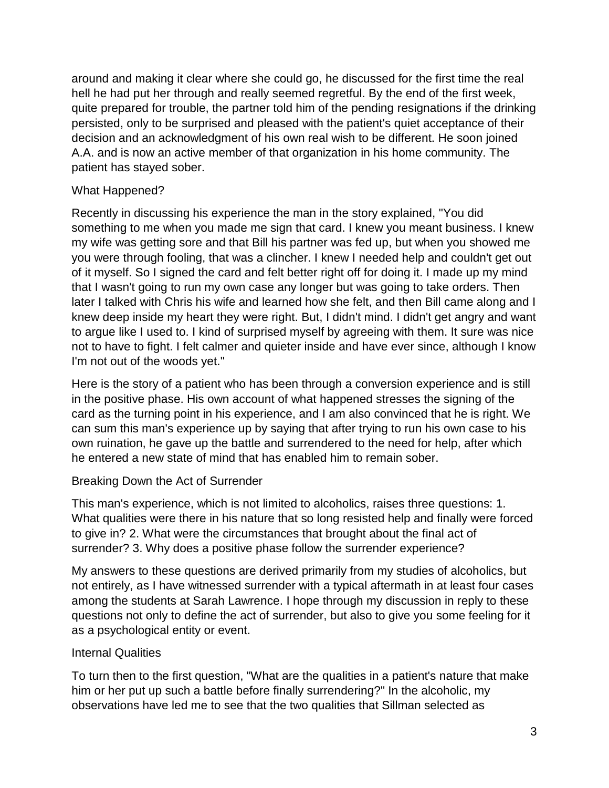around and making it clear where she could go, he discussed for the first time the real hell he had put her through and really seemed regretful. By the end of the first week, quite prepared for trouble, the partner told him of the pending resignations if the drinking persisted, only to be surprised and pleased with the patient's quiet acceptance of their decision and an acknowledgment of his own real wish to be different. He soon joined A.A. and is now an active member of that organization in his home community. The patient has stayed sober.

# What Happened?

Recently in discussing his experience the man in the story explained, "You did something to me when you made me sign that card. I knew you meant business. I knew my wife was getting sore and that Bill his partner was fed up, but when you showed me you were through fooling, that was a clincher. I knew I needed help and couldn't get out of it myself. So I signed the card and felt better right off for doing it. I made up my mind that I wasn't going to run my own case any longer but was going to take orders. Then later I talked with Chris his wife and learned how she felt, and then Bill came along and I knew deep inside my heart they were right. But, I didn't mind. I didn't get angry and want to argue like I used to. I kind of surprised myself by agreeing with them. It sure was nice not to have to fight. I felt calmer and quieter inside and have ever since, although I know I'm not out of the woods yet."

Here is the story of a patient who has been through a conversion experience and is still in the positive phase. His own account of what happened stresses the signing of the card as the turning point in his experience, and I am also convinced that he is right. We can sum this man's experience up by saying that after trying to run his own case to his own ruination, he gave up the battle and surrendered to the need for help, after which he entered a new state of mind that has enabled him to remain sober.

#### Breaking Down the Act of Surrender

This man's experience, which is not limited to alcoholics, raises three questions: 1. What qualities were there in his nature that so long resisted help and finally were forced to give in? 2. What were the circumstances that brought about the final act of surrender? 3. Why does a positive phase follow the surrender experience?

My answers to these questions are derived primarily from my studies of alcoholics, but not entirely, as I have witnessed surrender with a typical aftermath in at least four cases among the students at Sarah Lawrence. I hope through my discussion in reply to these questions not only to define the act of surrender, but also to give you some feeling for it as a psychological entity or event.

#### Internal Qualities

To turn then to the first question, "What are the qualities in a patient's nature that make him or her put up such a battle before finally surrendering?" In the alcoholic, my observations have led me to see that the two qualities that Sillman selected as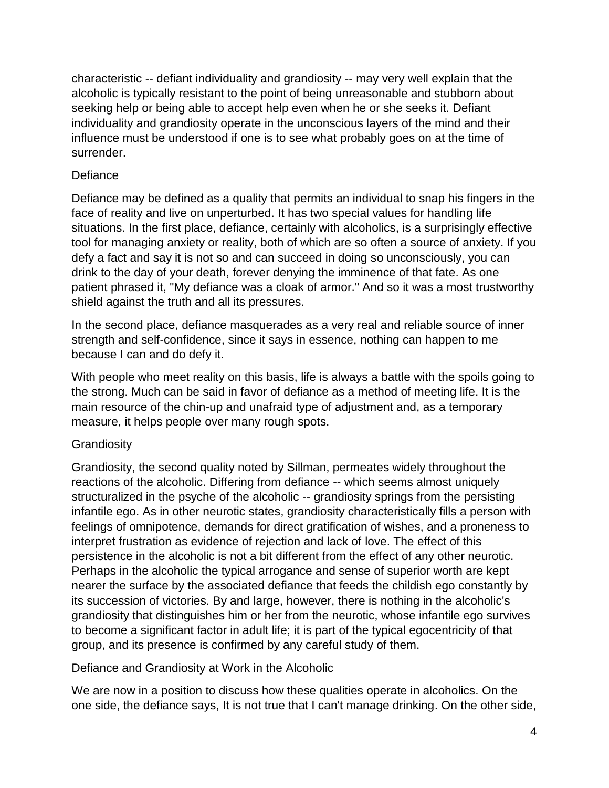characteristic -- defiant individuality and grandiosity -- may very well explain that the alcoholic is typically resistant to the point of being unreasonable and stubborn about seeking help or being able to accept help even when he or she seeks it. Defiant individuality and grandiosity operate in the unconscious layers of the mind and their influence must be understood if one is to see what probably goes on at the time of surrender.

## Defiance

Defiance may be defined as a quality that permits an individual to snap his fingers in the face of reality and live on unperturbed. It has two special values for handling life situations. In the first place, defiance, certainly with alcoholics, is a surprisingly effective tool for managing anxiety or reality, both of which are so often a source of anxiety. If you defy a fact and say it is not so and can succeed in doing so unconsciously, you can drink to the day of your death, forever denying the imminence of that fate. As one patient phrased it, "My defiance was a cloak of armor." And so it was a most trustworthy shield against the truth and all its pressures.

In the second place, defiance masquerades as a very real and reliable source of inner strength and self-confidence, since it says in essence, nothing can happen to me because I can and do defy it.

With people who meet reality on this basis, life is always a battle with the spoils going to the strong. Much can be said in favor of defiance as a method of meeting life. It is the main resource of the chin-up and unafraid type of adjustment and, as a temporary measure, it helps people over many rough spots.

# **Grandiosity**

Grandiosity, the second quality noted by Sillman, permeates widely throughout the reactions of the alcoholic. Differing from defiance -- which seems almost uniquely structuralized in the psyche of the alcoholic -- grandiosity springs from the persisting infantile ego. As in other neurotic states, grandiosity characteristically fills a person with feelings of omnipotence, demands for direct gratification of wishes, and a proneness to interpret frustration as evidence of rejection and lack of love. The effect of this persistence in the alcoholic is not a bit different from the effect of any other neurotic. Perhaps in the alcoholic the typical arrogance and sense of superior worth are kept nearer the surface by the associated defiance that feeds the childish ego constantly by its succession of victories. By and large, however, there is nothing in the alcoholic's grandiosity that distinguishes him or her from the neurotic, whose infantile ego survives to become a significant factor in adult life; it is part of the typical egocentricity of that group, and its presence is confirmed by any careful study of them.

Defiance and Grandiosity at Work in the Alcoholic

We are now in a position to discuss how these qualities operate in alcoholics. On the one side, the defiance says, It is not true that I can't manage drinking. On the other side,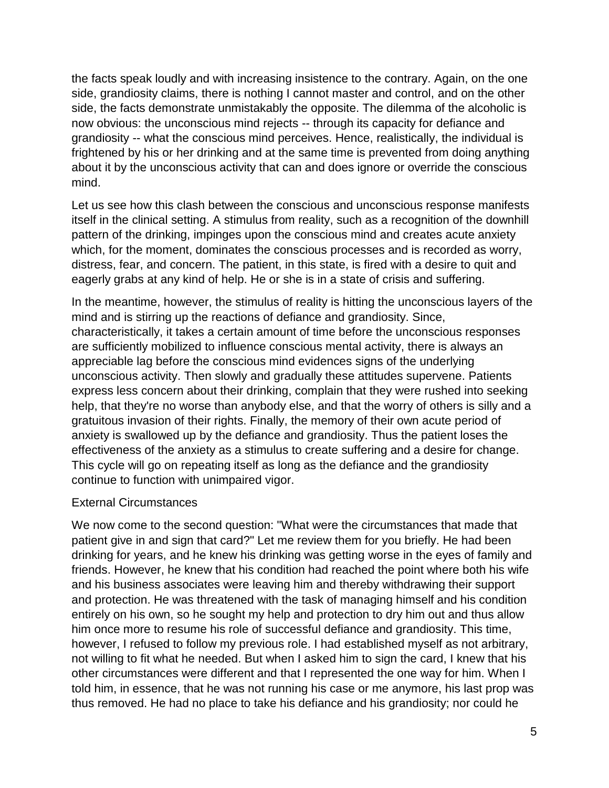the facts speak loudly and with increasing insistence to the contrary. Again, on the one side, grandiosity claims, there is nothing I cannot master and control, and on the other side, the facts demonstrate unmistakably the opposite. The dilemma of the alcoholic is now obvious: the unconscious mind rejects -- through its capacity for defiance and grandiosity -- what the conscious mind perceives. Hence, realistically, the individual is frightened by his or her drinking and at the same time is prevented from doing anything about it by the unconscious activity that can and does ignore or override the conscious mind.

Let us see how this clash between the conscious and unconscious response manifests itself in the clinical setting. A stimulus from reality, such as a recognition of the downhill pattern of the drinking, impinges upon the conscious mind and creates acute anxiety which, for the moment, dominates the conscious processes and is recorded as worry, distress, fear, and concern. The patient, in this state, is fired with a desire to quit and eagerly grabs at any kind of help. He or she is in a state of crisis and suffering.

In the meantime, however, the stimulus of reality is hitting the unconscious layers of the mind and is stirring up the reactions of defiance and grandiosity. Since, characteristically, it takes a certain amount of time before the unconscious responses are sufficiently mobilized to influence conscious mental activity, there is always an appreciable lag before the conscious mind evidences signs of the underlying unconscious activity. Then slowly and gradually these attitudes supervene. Patients express less concern about their drinking, complain that they were rushed into seeking help, that they're no worse than anybody else, and that the worry of others is silly and a gratuitous invasion of their rights. Finally, the memory of their own acute period of anxiety is swallowed up by the defiance and grandiosity. Thus the patient loses the effectiveness of the anxiety as a stimulus to create suffering and a desire for change. This cycle will go on repeating itself as long as the defiance and the grandiosity continue to function with unimpaired vigor.

#### External Circumstances

We now come to the second question: "What were the circumstances that made that patient give in and sign that card?" Let me review them for you briefly. He had been drinking for years, and he knew his drinking was getting worse in the eyes of family and friends. However, he knew that his condition had reached the point where both his wife and his business associates were leaving him and thereby withdrawing their support and protection. He was threatened with the task of managing himself and his condition entirely on his own, so he sought my help and protection to dry him out and thus allow him once more to resume his role of successful defiance and grandiosity. This time, however, I refused to follow my previous role. I had established myself as not arbitrary, not willing to fit what he needed. But when I asked him to sign the card, I knew that his other circumstances were different and that I represented the one way for him. When I told him, in essence, that he was not running his case or me anymore, his last prop was thus removed. He had no place to take his defiance and his grandiosity; nor could he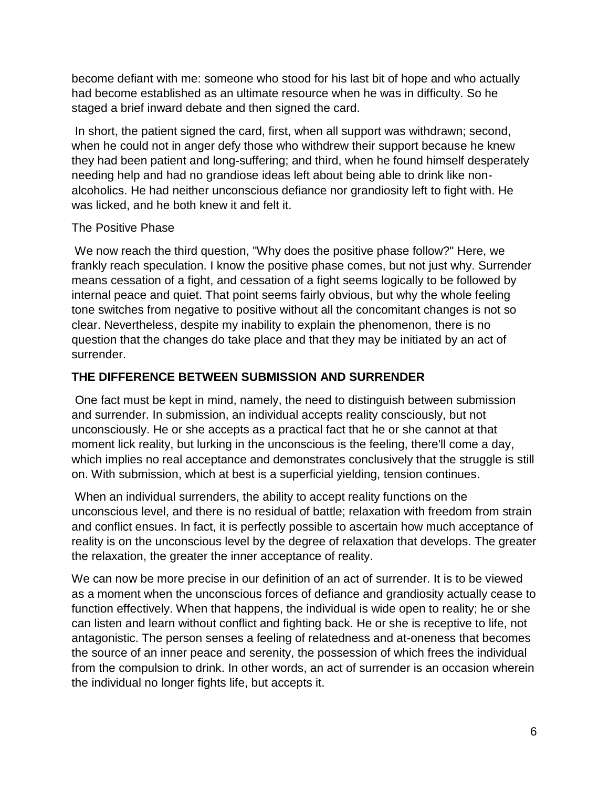become defiant with me: someone who stood for his last bit of hope and who actually had become established as an ultimate resource when he was in difficulty. So he staged a brief inward debate and then signed the card.

In short, the patient signed the card, first, when all support was withdrawn; second, when he could not in anger defy those who withdrew their support because he knew they had been patient and long-suffering; and third, when he found himself desperately needing help and had no grandiose ideas left about being able to drink like nonalcoholics. He had neither unconscious defiance nor grandiosity left to fight with. He was licked, and he both knew it and felt it.

## The Positive Phase

We now reach the third question, "Why does the positive phase follow?" Here, we frankly reach speculation. I know the positive phase comes, but not just why. Surrender means cessation of a fight, and cessation of a fight seems logically to be followed by internal peace and quiet. That point seems fairly obvious, but why the whole feeling tone switches from negative to positive without all the concomitant changes is not so clear. Nevertheless, despite my inability to explain the phenomenon, there is no question that the changes do take place and that they may be initiated by an act of surrender.

# **THE DIFFERENCE BETWEEN SUBMISSION AND SURRENDER**

One fact must be kept in mind, namely, the need to distinguish between submission and surrender. In submission, an individual accepts reality consciously, but not unconsciously. He or she accepts as a practical fact that he or she cannot at that moment lick reality, but lurking in the unconscious is the feeling, there'll come a day, which implies no real acceptance and demonstrates conclusively that the struggle is still on. With submission, which at best is a superficial yielding, tension continues.

When an individual surrenders, the ability to accept reality functions on the unconscious level, and there is no residual of battle; relaxation with freedom from strain and conflict ensues. In fact, it is perfectly possible to ascertain how much acceptance of reality is on the unconscious level by the degree of relaxation that develops. The greater the relaxation, the greater the inner acceptance of reality.

We can now be more precise in our definition of an act of surrender. It is to be viewed as a moment when the unconscious forces of defiance and grandiosity actually cease to function effectively. When that happens, the individual is wide open to reality; he or she can listen and learn without conflict and fighting back. He or she is receptive to life, not antagonistic. The person senses a feeling of relatedness and at-oneness that becomes the source of an inner peace and serenity, the possession of which frees the individual from the compulsion to drink. In other words, an act of surrender is an occasion wherein the individual no longer fights life, but accepts it.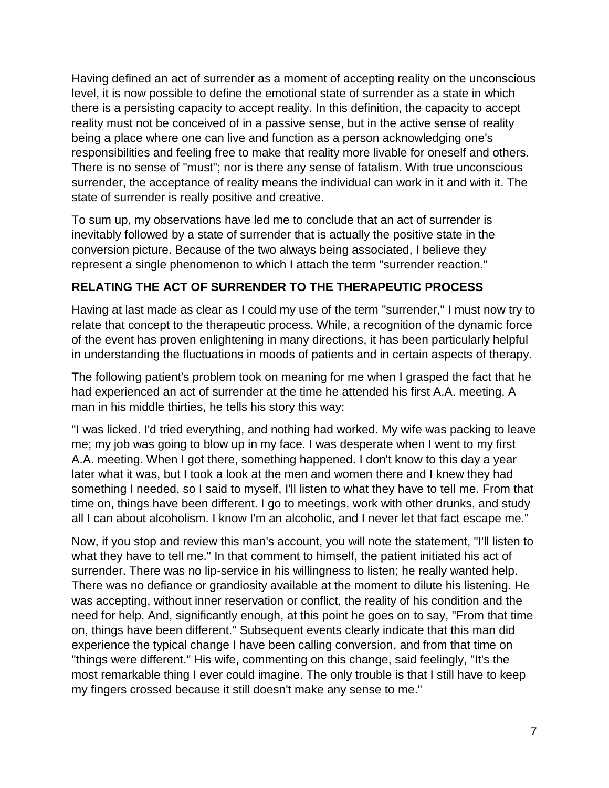Having defined an act of surrender as a moment of accepting reality on the unconscious level, it is now possible to define the emotional state of surrender as a state in which there is a persisting capacity to accept reality. In this definition, the capacity to accept reality must not be conceived of in a passive sense, but in the active sense of reality being a place where one can live and function as a person acknowledging one's responsibilities and feeling free to make that reality more livable for oneself and others. There is no sense of "must"; nor is there any sense of fatalism. With true unconscious surrender, the acceptance of reality means the individual can work in it and with it. The state of surrender is really positive and creative.

To sum up, my observations have led me to conclude that an act of surrender is inevitably followed by a state of surrender that is actually the positive state in the conversion picture. Because of the two always being associated, I believe they represent a single phenomenon to which I attach the term "surrender reaction."

# **RELATING THE ACT OF SURRENDER TO THE THERAPEUTIC PROCESS**

Having at last made as clear as I could my use of the term "surrender," I must now try to relate that concept to the therapeutic process. While, a recognition of the dynamic force of the event has proven enlightening in many directions, it has been particularly helpful in understanding the fluctuations in moods of patients and in certain aspects of therapy.

The following patient's problem took on meaning for me when I grasped the fact that he had experienced an act of surrender at the time he attended his first A.A. meeting. A man in his middle thirties, he tells his story this way:

"I was licked. I'd tried everything, and nothing had worked. My wife was packing to leave me; my job was going to blow up in my face. I was desperate when I went to my first A.A. meeting. When I got there, something happened. I don't know to this day a year later what it was, but I took a look at the men and women there and I knew they had something I needed, so I said to myself, I'll listen to what they have to tell me. From that time on, things have been different. I go to meetings, work with other drunks, and study all I can about alcoholism. I know I'm an alcoholic, and I never let that fact escape me."

Now, if you stop and review this man's account, you will note the statement, "I'll listen to what they have to tell me." In that comment to himself, the patient initiated his act of surrender. There was no lip-service in his willingness to listen; he really wanted help. There was no defiance or grandiosity available at the moment to dilute his listening. He was accepting, without inner reservation or conflict, the reality of his condition and the need for help. And, significantly enough, at this point he goes on to say, "From that time on, things have been different." Subsequent events clearly indicate that this man did experience the typical change I have been calling conversion, and from that time on "things were different." His wife, commenting on this change, said feelingly, "It's the most remarkable thing I ever could imagine. The only trouble is that I still have to keep my fingers crossed because it still doesn't make any sense to me."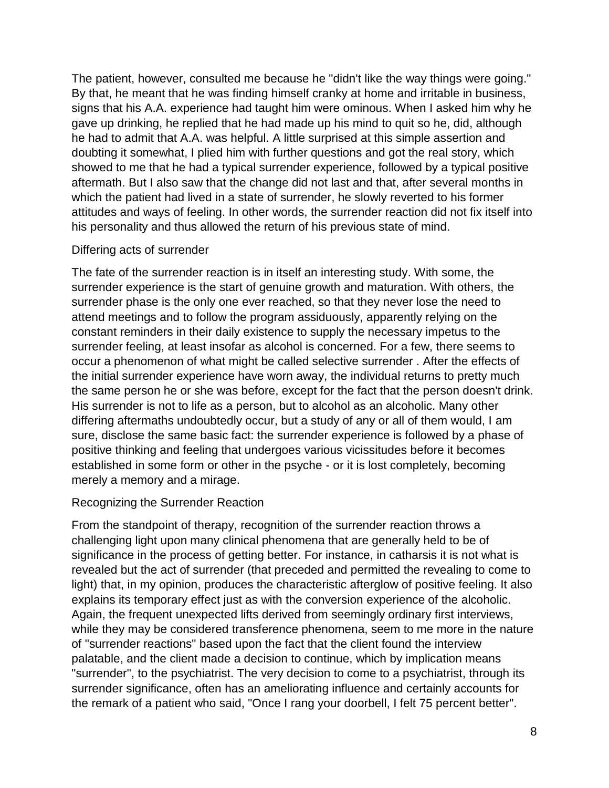The patient, however, consulted me because he "didn't like the way things were going." By that, he meant that he was finding himself cranky at home and irritable in business, signs that his A.A. experience had taught him were ominous. When I asked him why he gave up drinking, he replied that he had made up his mind to quit so he, did, although he had to admit that A.A. was helpful. A little surprised at this simple assertion and doubting it somewhat, I plied him with further questions and got the real story, which showed to me that he had a typical surrender experience, followed by a typical positive aftermath. But I also saw that the change did not last and that, after several months in which the patient had lived in a state of surrender, he slowly reverted to his former attitudes and ways of feeling. In other words, the surrender reaction did not fix itself into his personality and thus allowed the return of his previous state of mind.

#### Differing acts of surrender

The fate of the surrender reaction is in itself an interesting study. With some, the surrender experience is the start of genuine growth and maturation. With others, the surrender phase is the only one ever reached, so that they never lose the need to attend meetings and to follow the program assiduously, apparently relying on the constant reminders in their daily existence to supply the necessary impetus to the surrender feeling, at least insofar as alcohol is concerned. For a few, there seems to occur a phenomenon of what might be called selective surrender . After the effects of the initial surrender experience have worn away, the individual returns to pretty much the same person he or she was before, except for the fact that the person doesn't drink. His surrender is not to life as a person, but to alcohol as an alcoholic. Many other differing aftermaths undoubtedly occur, but a study of any or all of them would, I am sure, disclose the same basic fact: the surrender experience is followed by a phase of positive thinking and feeling that undergoes various vicissitudes before it becomes established in some form or other in the psyche - or it is lost completely, becoming merely a memory and a mirage.

#### Recognizing the Surrender Reaction

From the standpoint of therapy, recognition of the surrender reaction throws a challenging light upon many clinical phenomena that are generally held to be of significance in the process of getting better. For instance, in catharsis it is not what is revealed but the act of surrender (that preceded and permitted the revealing to come to light) that, in my opinion, produces the characteristic afterglow of positive feeling. It also explains its temporary effect just as with the conversion experience of the alcoholic. Again, the frequent unexpected lifts derived from seemingly ordinary first interviews, while they may be considered transference phenomena, seem to me more in the nature of "surrender reactions" based upon the fact that the client found the interview palatable, and the client made a decision to continue, which by implication means "surrender", to the psychiatrist. The very decision to come to a psychiatrist, through its surrender significance, often has an ameliorating influence and certainly accounts for the remark of a patient who said, "Once I rang your doorbell, I felt 75 percent better".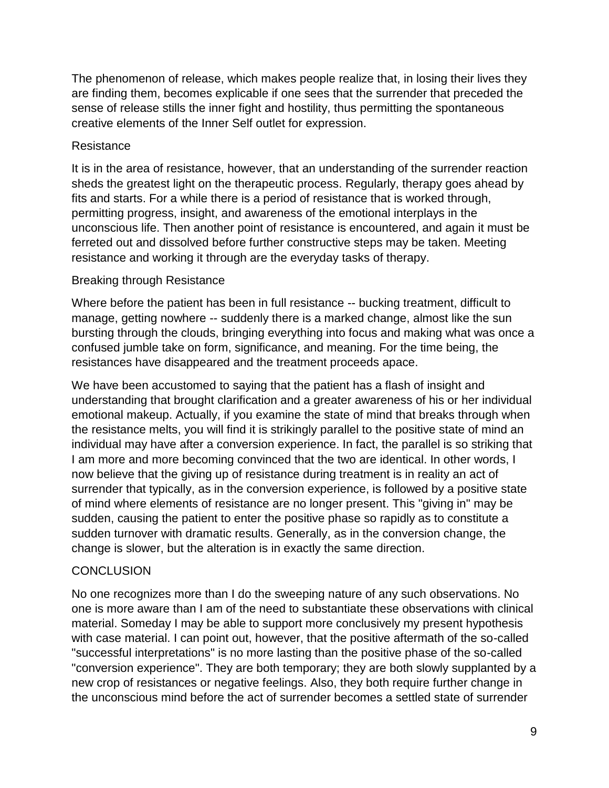The phenomenon of release, which makes people realize that, in losing their lives they are finding them, becomes explicable if one sees that the surrender that preceded the sense of release stills the inner fight and hostility, thus permitting the spontaneous creative elements of the Inner Self outlet for expression.

## **Resistance**

It is in the area of resistance, however, that an understanding of the surrender reaction sheds the greatest light on the therapeutic process. Regularly, therapy goes ahead by fits and starts. For a while there is a period of resistance that is worked through, permitting progress, insight, and awareness of the emotional interplays in the unconscious life. Then another point of resistance is encountered, and again it must be ferreted out and dissolved before further constructive steps may be taken. Meeting resistance and working it through are the everyday tasks of therapy.

## Breaking through Resistance

Where before the patient has been in full resistance -- bucking treatment, difficult to manage, getting nowhere -- suddenly there is a marked change, almost like the sun bursting through the clouds, bringing everything into focus and making what was once a confused jumble take on form, significance, and meaning. For the time being, the resistances have disappeared and the treatment proceeds apace.

We have been accustomed to saying that the patient has a flash of insight and understanding that brought clarification and a greater awareness of his or her individual emotional makeup. Actually, if you examine the state of mind that breaks through when the resistance melts, you will find it is strikingly parallel to the positive state of mind an individual may have after a conversion experience. In fact, the parallel is so striking that I am more and more becoming convinced that the two are identical. In other words, I now believe that the giving up of resistance during treatment is in reality an act of surrender that typically, as in the conversion experience, is followed by a positive state of mind where elements of resistance are no longer present. This "giving in" may be sudden, causing the patient to enter the positive phase so rapidly as to constitute a sudden turnover with dramatic results. Generally, as in the conversion change, the change is slower, but the alteration is in exactly the same direction.

# **CONCLUSION**

No one recognizes more than I do the sweeping nature of any such observations. No one is more aware than I am of the need to substantiate these observations with clinical material. Someday I may be able to support more conclusively my present hypothesis with case material. I can point out, however, that the positive aftermath of the so-called "successful interpretations" is no more lasting than the positive phase of the so-called "conversion experience". They are both temporary; they are both slowly supplanted by a new crop of resistances or negative feelings. Also, they both require further change in the unconscious mind before the act of surrender becomes a settled state of surrender